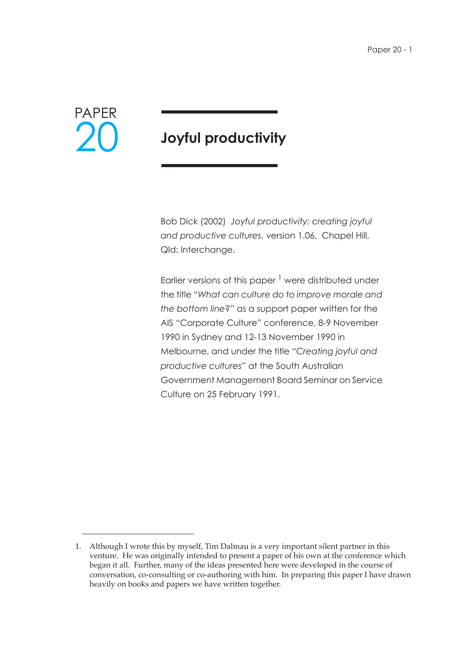

# **Joyful productivity**

Bob Dick (2002) *Joyful productivity: creating joyful and productive cultures*, version 1.06. Chapel Hill, Qld: Interchange.

Earlier versions of this paper  $<sup>1</sup>$  were distributed under</sup> the title "*What can culture do to improve morale and the bottom line*?" as a support paper written for the AIS "Corporate Culture" conference, 8-9 November 1990 in Sydney and 12-13 November 1990 in Melbourne, and under the title "*Creating joyful and productive cultures*" at the South Australian Government Management Board Seminar on Service Culture on 25 February 1991.

<sup>1.</sup> Although I wrote this by myself, Tim Dalmau is a very important silent partner in this venture. He was originally intended to present a paper of his own at the conference which began it all. Further, many of the ideas presented here were developed in the course of conversation, co-consulting or co-authoring with him. In preparing this paper I have drawn heavily on books and papers we have written together.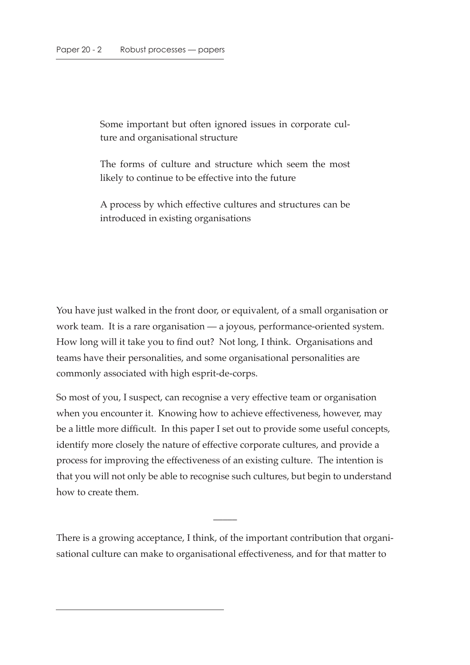Some important but often ignored issues in corporate culture and organisational structure

The forms of culture and structure which seem the most likely to continue to be effective into the future

A process by which effective cultures and structures can be introduced in existing organisations

You have just walked in the front door, or equivalent, of a small organisation or work team. It is a rare organisation — a joyous, performance-oriented system. How long will it take you to find out? Not long, I think. Organisations and teams have their personalities, and some organisational personalities are commonly associated with high esprit-de-corps.

So most of you, I suspect, can recognise a very effective team or organisation when you encounter it. Knowing how to achieve effectiveness, however, may be a little more difficult. In this paper I set out to provide some useful concepts, identify more closely the nature of effective corporate cultures, and provide a process for improving the effectiveness of an existing culture. The intention is that you will not only be able to recognise such cultures, but begin to understand how to create them.

There is a growing acceptance, I think, of the important contribution that organisational culture can make to organisational effectiveness, and for that matter to

 $\overline{\phantom{a}}$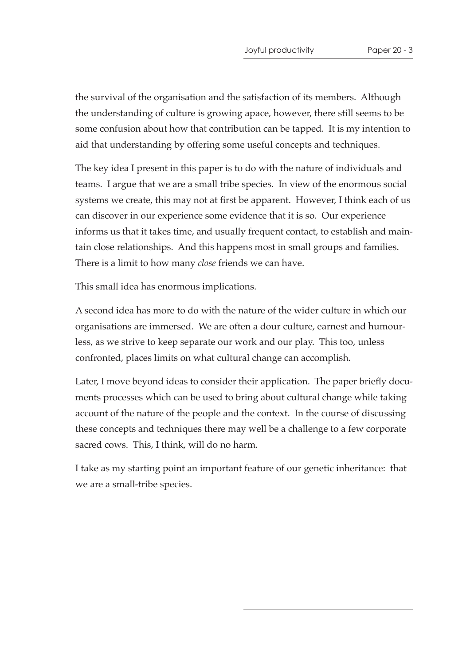the survival of the organisation and the satisfaction of its members. Although the understanding of culture is growing apace, however, there still seems to be some confusion about how that contribution can be tapped. It is my intention to aid that understanding by offering some useful concepts and techniques.

The key idea I present in this paper is to do with the nature of individuals and teams. I argue that we are a small tribe species. In view of the enormous social systems we create, this may not at first be apparent. However, I think each of us can discover in our experience some evidence that it is so. Our experience informs us that it takes time, and usually frequent contact, to establish and maintain close relationships. And this happens most in small groups and families. There is a limit to how many *close* friends we can have.

This small idea has enormous implications.

A second idea has more to do with the nature of the wider culture in which our organisations are immersed. We are often a dour culture, earnest and humourless, as we strive to keep separate our work and our play. This too, unless confronted, places limits on what cultural change can accomplish.

Later, I move beyond ideas to consider their application. The paper briefly documents processes which can be used to bring about cultural change while taking account of the nature of the people and the context. In the course of discussing these concepts and techniques there may well be a challenge to a few corporate sacred cows. This, I think, will do no harm.

I take as my starting point an important feature of our genetic inheritance: that we are a small-tribe species.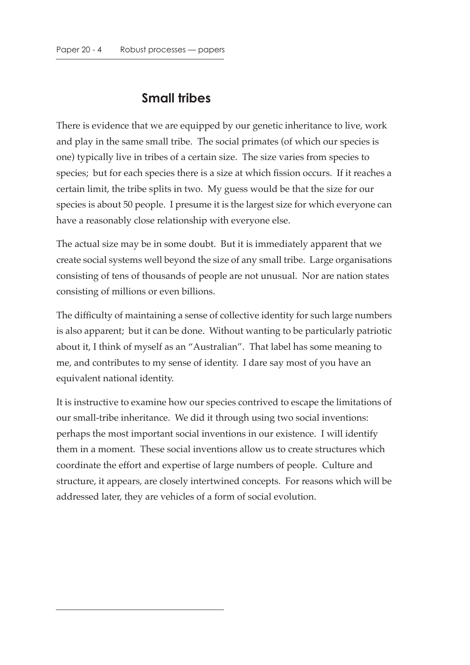## **Small tribes**

There is evidence that we are equipped by our genetic inheritance to live, work and play in the same small tribe. The social primates (of which our species is one) typically live in tribes of a certain size. The size varies from species to species; but for each species there is a size at which fission occurs. If it reaches a certain limit, the tribe splits in two. My guess would be that the size for our species is about 50 people. I presume it is the largest size for which everyone can have a reasonably close relationship with everyone else.

The actual size may be in some doubt. But it is immediately apparent that we create social systems well beyond the size of any small tribe. Large organisations consisting of tens of thousands of people are not unusual. Nor are nation states consisting of millions or even billions.

The difficulty of maintaining a sense of collective identity for such large numbers is also apparent; but it can be done. Without wanting to be particularly patriotic about it, I think of myself as an "Australian". That label has some meaning to me, and contributes to my sense of identity. I dare say most of you have an equivalent national identity.

It is instructive to examine how our species contrived to escape the limitations of our small-tribe inheritance. We did it through using two social inventions: perhaps the most important social inventions in our existence. I will identify them in a moment. These social inventions allow us to create structures which coordinate the effort and expertise of large numbers of people. Culture and structure, it appears, are closely intertwined concepts. For reasons which will be addressed later, they are vehicles of a form of social evolution.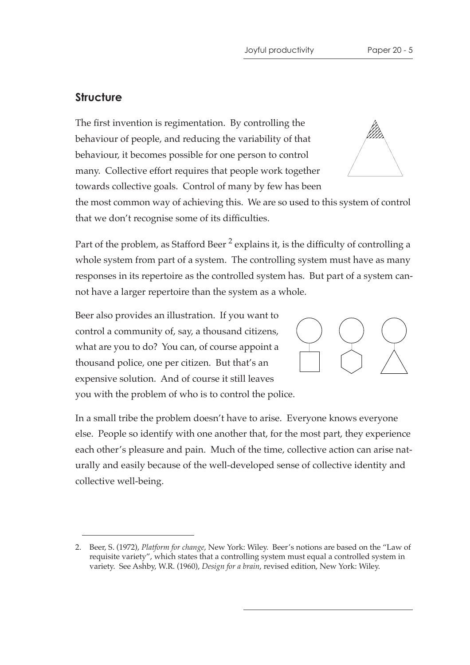#### **Structure**

The first invention is regimentation. By controlling the behaviour of people, and reducing the variability of that behaviour, it becomes possible for one person to control many. Collective effort requires that people work together towards collective goals. Control of many by few has been

the most common way of achieving this. We are so used to this system of control that we don't recognise some of its difficulties.

Part of the problem, as Stafford Beer<sup>2</sup> explains it, is the difficulty of controlling a whole system from part of a system. The controlling system must have as many responses in its repertoire as the controlled system has. But part of a system cannot have a larger repertoire than the system as a whole.

Beer also provides an illustration. If you want to control a community of, say, a thousand citizens, what are you to do? You can, of course appoint a thousand police, one per citizen. But that's an expensive solution. And of course it still leaves you with the problem of who is to control the police.

In a small tribe the problem doesn't have to arise. Everyone knows everyone else. People so identify with one another that, for the most part, they experience each other's pleasure and pain. Much of the time, collective action can arise naturally and easily because of the well-developed sense of collective identity and collective well-being.





<sup>2.</sup> Beer, S. (1972), *Platform for change*, New York: Wiley. Beer's notions are based on the "Law of requisite variety", which states that a controlling system must equal a controlled system in variety. See Ashby, W.R. (1960), *Design for a brain*, revised edition, New York: Wiley.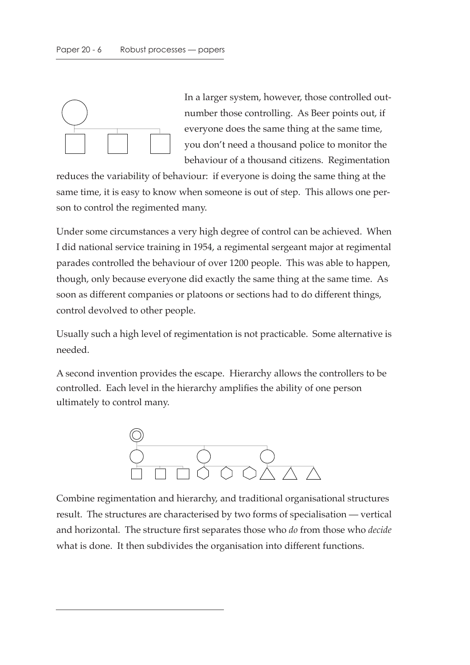

In a larger system, however, those controlled outnumber those controlling. As Beer points out, if everyone does the same thing at the same time, you don't need a thousand police to monitor the behaviour of a thousand citizens. Regimentation

reduces the variability of behaviour: if everyone is doing the same thing at the same time, it is easy to know when someone is out of step. This allows one person to control the regimented many.

Under some circumstances a very high degree of control can be achieved. When I did national service training in 1954, a regimental sergeant major at regimental parades controlled the behaviour of over 1200 people. This was able to happen, though, only because everyone did exactly the same thing at the same time. As soon as different companies or platoons or sections had to do different things, control devolved to other people.

Usually such a high level of regimentation is not practicable. Some alternative is needed.

A second invention provides the escape. Hierarchy allows the controllers to be controlled. Each level in the hierarchy amplifies the ability of one person ultimately to control many.



Combine regimentation and hierarchy, and traditional organisational structures result. The structures are characterised by two forms of specialisation — vertical and horizontal. The structure first separates those who *do* from those who *decide* what is done. It then subdivides the organisation into different functions.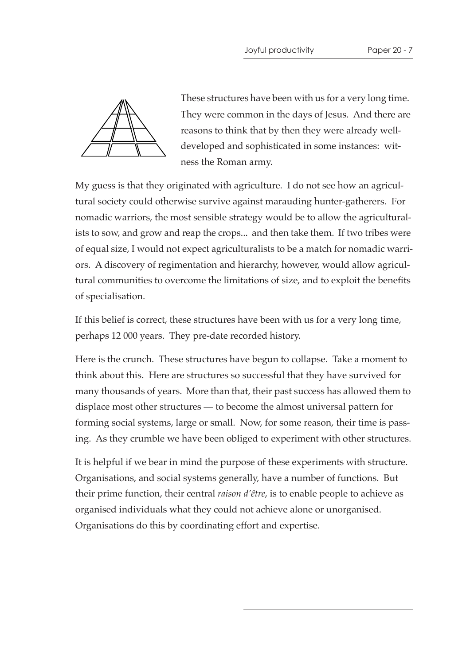

These structures have been with us for a very long time. They were common in the days of Jesus. And there are reasons to think that by then they were already welldeveloped and sophisticated in some instances: witness the Roman army.

My guess is that they originated with agriculture. I do not see how an agricultural society could otherwise survive against marauding hunter-gatherers. For nomadic warriors, the most sensible strategy would be to allow the agriculturalists to sow, and grow and reap the crops... and then take them. If two tribes were of equal size, I would not expect agriculturalists to be a match for nomadic warriors. A discovery of regimentation and hierarchy, however, would allow agricultural communities to overcome the limitations of size, and to exploit the benefits of specialisation.

If this belief is correct, these structures have been with us for a very long time, perhaps 12 000 years. They pre-date recorded history.

Here is the crunch. These structures have begun to collapse. Take a moment to think about this. Here are structures so successful that they have survived for many thousands of years. More than that, their past success has allowed them to displace most other structures — to become the almost universal pattern for forming social systems, large or small. Now, for some reason, their time is passing. As they crumble we have been obliged to experiment with other structures.

It is helpful if we bear in mind the purpose of these experiments with structure. Organisations, and social systems generally, have a number of functions. But their prime function, their central *raison d'être*, is to enable people to achieve as organised individuals what they could not achieve alone or unorganised. Organisations do this by coordinating effort and expertise.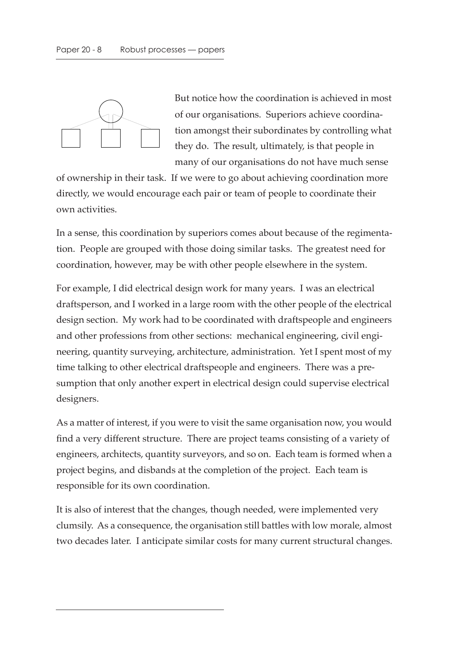

But notice how the coordination is achieved in most of our organisations. Superiors achieve coordination amongst their subordinates by controlling what they do. The result, ultimately, is that people in many of our organisations do not have much sense

of ownership in their task. If we were to go about achieving coordination more directly, we would encourage each pair or team of people to coordinate their own activities.

In a sense, this coordination by superiors comes about because of the regimentation. People are grouped with those doing similar tasks. The greatest need for coordination, however, may be with other people elsewhere in the system.

For example, I did electrical design work for many years. I was an electrical draftsperson, and I worked in a large room with the other people of the electrical design section. My work had to be coordinated with draftspeople and engineers and other professions from other sections: mechanical engineering, civil engineering, quantity surveying, architecture, administration. Yet I spent most of my time talking to other electrical draftspeople and engineers. There was a presumption that only another expert in electrical design could supervise electrical designers.

As a matter of interest, if you were to visit the same organisation now, you would find a very different structure. There are project teams consisting of a variety of engineers, architects, quantity surveyors, and so on. Each team is formed when a project begins, and disbands at the completion of the project. Each team is responsible for its own coordination.

It is also of interest that the changes, though needed, were implemented very clumsily. As a consequence, the organisation still battles with low morale, almost two decades later. I anticipate similar costs for many current structural changes.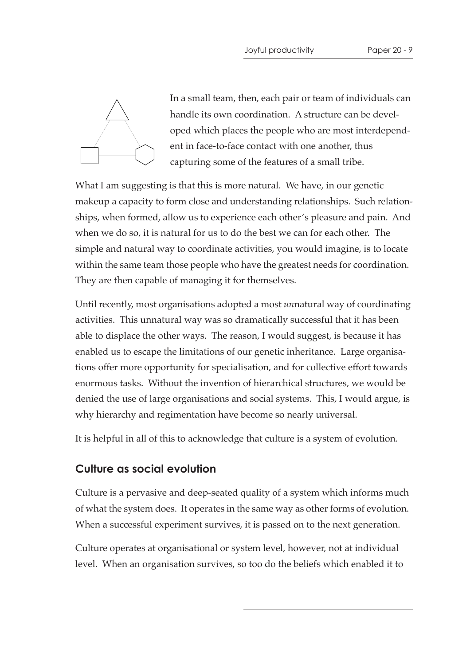

In a small team, then, each pair or team of individuals can handle its own coordination. A structure can be developed which places the people who are most interdependent in face-to-face contact with one another, thus capturing some of the features of a small tribe.

What I am suggesting is that this is more natural. We have, in our genetic makeup a capacity to form close and understanding relationships. Such relationships, when formed, allow us to experience each other's pleasure and pain. And when we do so, it is natural for us to do the best we can for each other. The simple and natural way to coordinate activities, you would imagine, is to locate within the same team those people who have the greatest needs for coordination. They are then capable of managing it for themselves.

Until recently, most organisations adopted a most *un*natural way of coordinating activities. This unnatural way was so dramatically successful that it has been able to displace the other ways. The reason, I would suggest, is because it has enabled us to escape the limitations of our genetic inheritance. Large organisations offer more opportunity for specialisation, and for collective effort towards enormous tasks. Without the invention of hierarchical structures, we would be denied the use of large organisations and social systems. This, I would argue, is why hierarchy and regimentation have become so nearly universal.

It is helpful in all of this to acknowledge that culture is a system of evolution.

## **Culture as social evolution**

Culture is a pervasive and deep-seated quality of a system which informs much of what the system does. It operates in the same way as other forms of evolution. When a successful experiment survives, it is passed on to the next generation.

Culture operates at organisational or system level, however, not at individual level. When an organisation survives, so too do the beliefs which enabled it to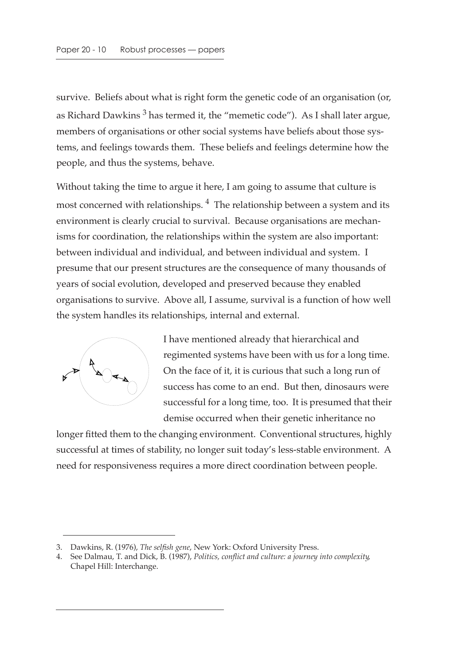survive. Beliefs about what is right form the genetic code of an organisation (or, as Richard Dawkins<sup>3</sup> has termed it, the "memetic code"). As I shall later argue, members of organisations or other social systems have beliefs about those systems, and feelings towards them. These beliefs and feelings determine how the people, and thus the systems, behave.

Without taking the time to argue it here, I am going to assume that culture is most concerned with relationships.  $4$  The relationship between a system and its environment is clearly crucial to survival. Because organisations are mechanisms for coordination, the relationships within the system are also important: between individual and individual, and between individual and system. I presume that our present structures are the consequence of many thousands of years of social evolution, developed and preserved because they enabled organisations to survive. Above all, I assume, survival is a function of how well the system handles its relationships, internal and external.



I have mentioned already that hierarchical and regimented systems have been with us for a long time. On the face of it, it is curious that such a long run of success has come to an end. But then, dinosaurs were successful for a long time, too. It is presumed that their demise occurred when their genetic inheritance no

longer fitted them to the changing environment. Conventional structures, highly successful at times of stability, no longer suit today's less-stable environment. A need for responsiveness requires a more direct coordination between people.

<sup>3.</sup> Dawkins, R. (1976), *The selfish gene*, New York: Oxford University Press.

<sup>4.</sup> See Dalmau, T. and Dick, B. (1987), *Politics, conflict and culture: a journey into complexity*, Chapel Hill: Interchange.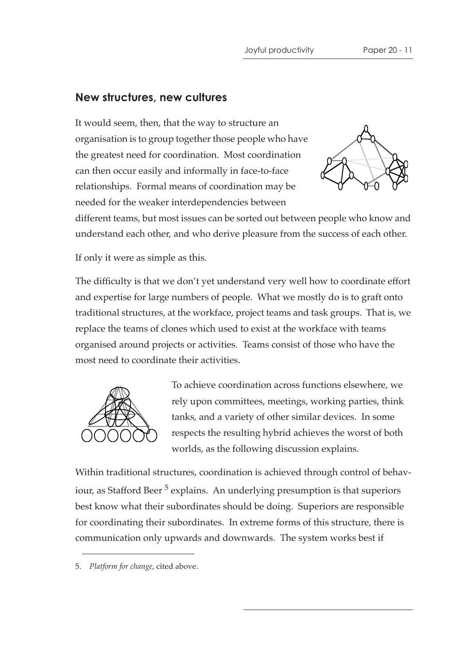#### **New structures, new cultures**

It would seem, then, that the way to structure an organisation is to group together those people who have the greatest need for coordination. Most coordination can then occur easily and informally in face-to-face relationships. Formal means of coordination may be needed for the weaker interdependencies between



different teams, but most issues can be sorted out between people who know and understand each other, and who derive pleasure from the success of each other.

If only it were as simple as this.

The difficulty is that we don't yet understand very well how to coordinate effort and expertise for large numbers of people. What we mostly do is to graft onto traditional structures, at the workface, project teams and task groups. That is, we replace the teams of clones which used to exist at the workface with teams organised around projects or activities. Teams consist of those who have the most need to coordinate their activities.



To achieve coordination across functions elsewhere, we rely upon committees, meetings, working parties, think tanks, and a variety of other similar devices. In some respects the resulting hybrid achieves the worst of both worlds, as the following discussion explains.

Within traditional structures, coordination is achieved through control of behaviour, as Stafford Beer<sup>5</sup> explains. An underlying presumption is that superiors best know what their subordinates should be doing. Superiors are responsible for coordinating their subordinates. In extreme forms of this structure, there is communication only upwards and downwards. The system works best if

<sup>5.</sup> *Platform for change*, cited above.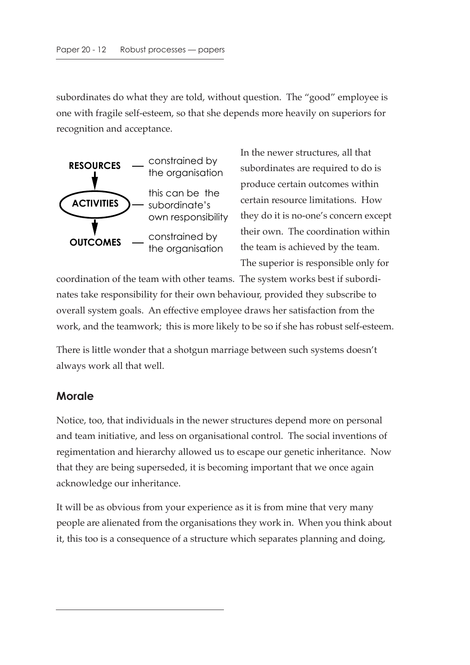subordinates do what they are told, without question. The "good" employee is one with fragile self-esteem, so that she depends more heavily on superiors for recognition and acceptance.



In the newer structures, all that subordinates are required to do is produce certain outcomes within certain resource limitations. How they do it is no-one's concern except their own. The coordination within the team is achieved by the team. The superior is responsible only for

coordination of the team with other teams. The system works best if subordinates take responsibility for their own behaviour, provided they subscribe to overall system goals. An effective employee draws her satisfaction from the work, and the teamwork; this is more likely to be so if she has robust self-esteem.

There is little wonder that a shotgun marriage between such systems doesn't always work all that well.

## **Morale**

Notice, too, that individuals in the newer structures depend more on personal and team initiative, and less on organisational control. The social inventions of regimentation and hierarchy allowed us to escape our genetic inheritance. Now that they are being superseded, it is becoming important that we once again acknowledge our inheritance.

It will be as obvious from your experience as it is from mine that very many people are alienated from the organisations they work in. When you think about it, this too is a consequence of a structure which separates planning and doing,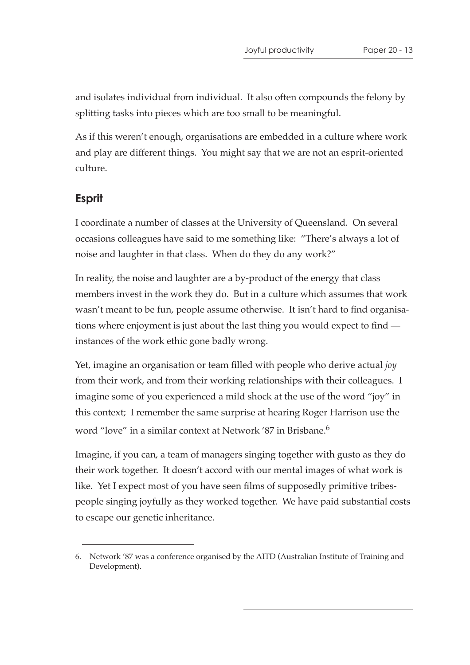and isolates individual from individual. It also often compounds the felony by splitting tasks into pieces which are too small to be meaningful.

As if this weren't enough, organisations are embedded in a culture where work and play are different things. You might say that we are not an esprit-oriented culture.

#### **Esprit**

I coordinate a number of classes at the University of Queensland. On several occasions colleagues have said to me something like: "There's always a lot of noise and laughter in that class. When do they do any work?"

In reality, the noise and laughter are a by-product of the energy that class members invest in the work they do. But in a culture which assumes that work wasn't meant to be fun, people assume otherwise. It isn't hard to find organisations where enjoyment is just about the last thing you would expect to find instances of the work ethic gone badly wrong.

Yet, imagine an organisation or team filled with people who derive actual *joy* from their work, and from their working relationships with their colleagues. I imagine some of you experienced a mild shock at the use of the word "joy" in this context; I remember the same surprise at hearing Roger Harrison use the word "love" in a similar context at Network '87 in Brisbane.<sup>6</sup>

Imagine, if you can, a team of managers singing together with gusto as they do their work together. It doesn't accord with our mental images of what work is like. Yet I expect most of you have seen films of supposedly primitive tribespeople singing joyfully as they worked together. We have paid substantial costs to escape our genetic inheritance.

<sup>6.</sup> Network '87 was a conference organised by the AITD (Australian Institute of Training and Development).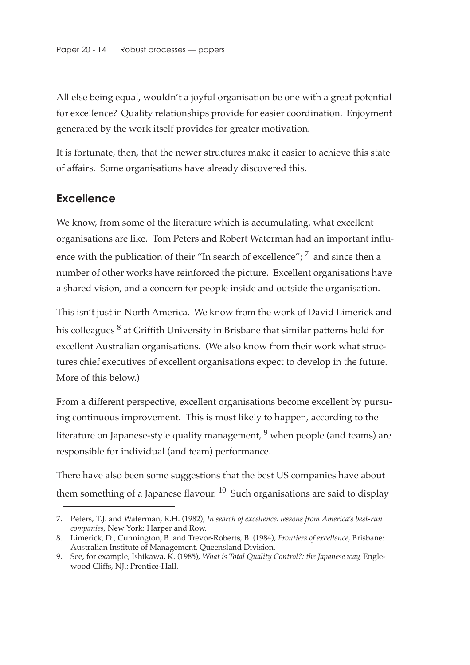All else being equal, wouldn't a joyful organisation be one with a great potential for excellence? Quality relationships provide for easier coordination. Enjoyment generated by the work itself provides for greater motivation.

It is fortunate, then, that the newer structures make it easier to achieve this state of affairs. Some organisations have already discovered this.

#### **Excellence**

We know, from some of the literature which is accumulating, what excellent organisations are like. Tom Peters and Robert Waterman had an important influence with the publication of their "In search of excellence";  $^7$  and since then a number of other works have reinforced the picture. Excellent organisations have a shared vision, and a concern for people inside and outside the organisation.

This isn't just in North America. We know from the work of David Limerick and his colleagues  $^8$  at Griffith University in Brisbane that similar patterns hold for excellent Australian organisations. (We also know from their work what structures chief executives of excellent organisations expect to develop in the future. More of this below.)

From a different perspective, excellent organisations become excellent by pursuing continuous improvement. This is most likely to happen, according to the literature on Japanese-style quality management,  $9$  when people (and teams) are responsible for individual (and team) performance.

There have also been some suggestions that the best US companies have about them something of a Japanese flavour.  $10$  Such organisations are said to display

<sup>7.</sup> Peters, T.J. and Waterman, R.H. (1982), *In search of excellence: lessons from America's best-run companies*, New York: Harper and Row.

<sup>8.</sup> Limerick, D., Cunnington, B. and Trevor-Roberts, B. (1984), *Frontiers of excellence*, Brisbane: Australian Institute of Management, Queensland Division.

<sup>9.</sup> See, for example, Ishikawa, K. (1985), *What is Total Quality Control?: the Japanese way*, Englewood Cliffs, NJ.: Prentice-Hall.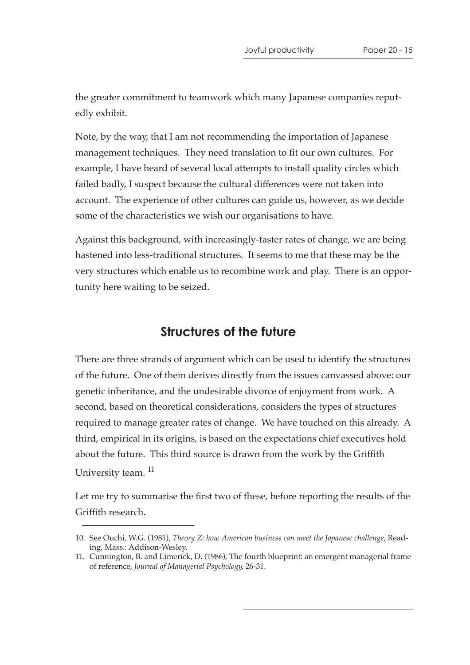the greater commitment to teamwork which many Japanese companies reputedly exhibit.

Note, by the way, that I am not recommending the importation of Japanese management techniques. They need translation to fit our own cultures. For example, I have heard of several local attempts to install quality circles which failed badly, I suspect because the cultural differences were not taken into account. The experience of other cultures can guide us, however, as we decide some of the characteristics we wish our organisations to have.

Against this background, with increasingly-faster rates of change, we are being hastened into less-traditional structures. It seems to me that these may be the very structures which enable us to recombine work and play. There is an opportunity here waiting to be seized.

## **Structures of the future**

There are three strands of argument which can be used to identify the structures of the future. One of them derives directly from the issues canvassed above: our genetic inheritance, and the undesirable divorce of enjoyment from work. A second, based on theoretical considerations, considers the types of structures required to manage greater rates of change. We have touched on this already. A third, empirical in its origins, is based on the expectations chief executives hold about the future. This third source is drawn from the work by the Griffith University team.<sup>11</sup>

Let me try to summarise the first two of these, before reporting the results of the Griffith research.

<sup>10.</sup> See Ouchi, W.G. (1981), *Theory Z: how American business can meet the Japanese challenge*, Reading, Mass.: Addison-Wesley.

<sup>11.</sup> Cunnington, B. and Limerick, D. (1986), The fourth blueprint: an emergent managerial frame of reference, *Journal of Managerial Psychology*, 26-31.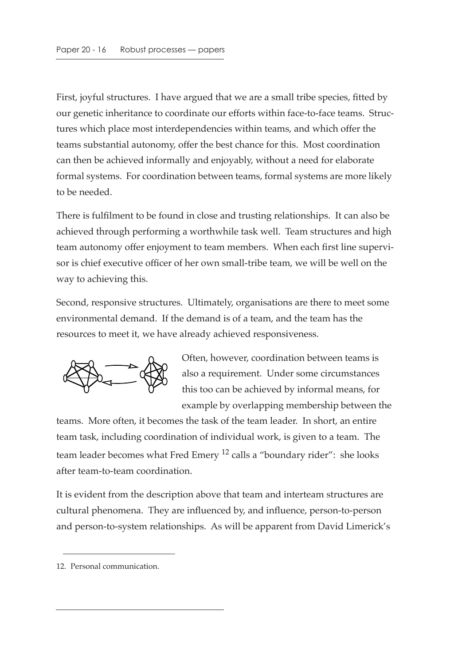First, joyful structures. I have argued that we are a small tribe species, fitted by our genetic inheritance to coordinate our efforts within face-to-face teams. Structures which place most interdependencies within teams, and which offer the teams substantial autonomy, offer the best chance for this. Most coordination can then be achieved informally and enjoyably, without a need for elaborate formal systems. For coordination between teams, formal systems are more likely to be needed.

There is fulfilment to be found in close and trusting relationships. It can also be achieved through performing a worthwhile task well. Team structures and high team autonomy offer enjoyment to team members. When each first line supervisor is chief executive officer of her own small-tribe team, we will be well on the way to achieving this.

Second, responsive structures. Ultimately, organisations are there to meet some environmental demand. If the demand is of a team, and the team has the resources to meet it, we have already achieved responsiveness.



Often, however, coordination between teams is also a requirement. Under some circumstances this too can be achieved by informal means, for example by overlapping membership between the

teams. More often, it becomes the task of the team leader. In short, an entire team task, including coordination of individual work, is given to a team. The team leader becomes what Fred Emery  $^{12}$  calls a "boundary rider": she looks after team-to-team coordination.

It is evident from the description above that team and interteam structures are cultural phenomena. They are influenced by, and influence, person-to-person and person-to-system relationships. As will be apparent from David Limerick's

<sup>12.</sup> Personal communication.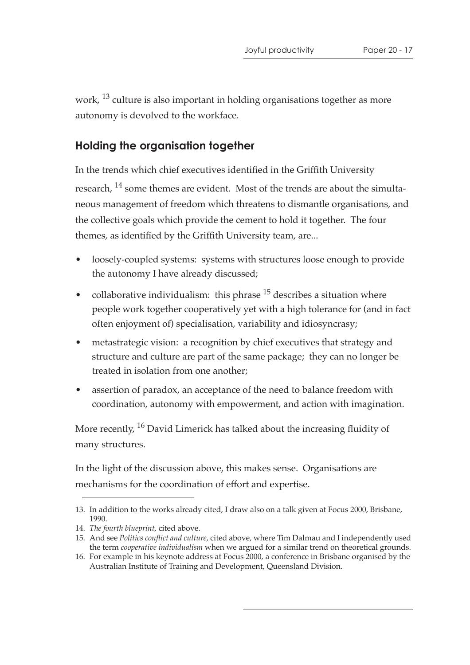work, <sup>13</sup> culture is also important in holding organisations together as more autonomy is devolved to the workface.

#### **Holding the organisation together**

In the trends which chief executives identified in the Griffith University research, <sup>14</sup> some themes are evident. Most of the trends are about the simultaneous management of freedom which threatens to dismantle organisations, and the collective goals which provide the cement to hold it together. The four themes, as identified by the Griffith University team, are...

- loosely-coupled systems: systems with structures loose enough to provide the autonomy I have already discussed;
- collaborative individualism: this phrase  $15$  describes a situation where people work together cooperatively yet with a high tolerance for (and in fact often enjoyment of) specialisation, variability and idiosyncrasy;
- metastrategic vision: a recognition by chief executives that strategy and structure and culture are part of the same package; they can no longer be treated in isolation from one another;
- assertion of paradox, an acceptance of the need to balance freedom with coordination, autonomy with empowerment, and action with imagination.

More recently, <sup>16</sup> David Limerick has talked about the increasing fluidity of many structures.

In the light of the discussion above, this makes sense. Organisations are mechanisms for the coordination of effort and expertise.

<sup>13.</sup> In addition to the works already cited, I draw also on a talk given at Focus 2000, Brisbane, 1990.

<sup>14.</sup> *The fourth blueprint*, cited above.

<sup>15.</sup> And see *Politics conflict and culture*, cited above, where Tim Dalmau and I independently used the term *cooperative individualism* when we argued for a similar trend on theoretical grounds.

<sup>16.</sup> For example in his keynote address at Focus 2000, a conference in Brisbane organised by the Australian Institute of Training and Development, Queensland Division.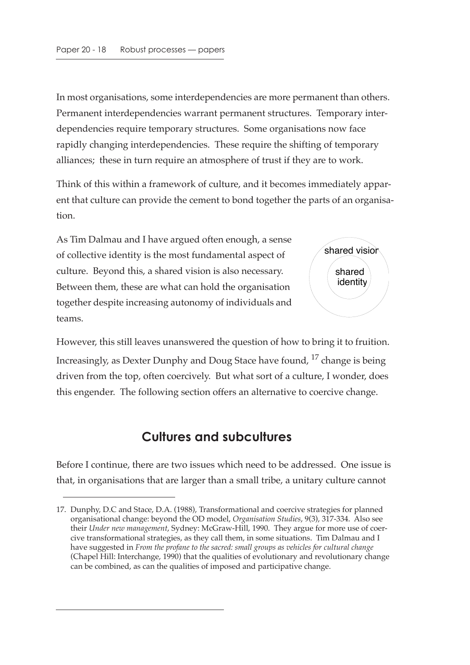In most organisations, some interdependencies are more permanent than others. Permanent interdependencies warrant permanent structures. Temporary interdependencies require temporary structures. Some organisations now face rapidly changing interdependencies. These require the shifting of temporary alliances; these in turn require an atmosphere of trust if they are to work.

Think of this within a framework of culture, and it becomes immediately apparent that culture can provide the cement to bond together the parts of an organisation.

As Tim Dalmau and I have argued often enough, a sense of collective identity is the most fundamental aspect of culture. Beyond this, a shared vision is also necessary. Between them, these are what can hold the organisation together despite increasing autonomy of individuals and teams.



However, this still leaves unanswered the question of how to bring it to fruition. Increasingly, as Dexter Dunphy and Doug Stace have found, <sup>17</sup> change is being driven from the top, often coercively. But what sort of a culture, I wonder, does this engender. The following section offers an alternative to coercive change.

## **Cultures and subcultures**

Before I continue, there are two issues which need to be addressed. One issue is that, in organisations that are larger than a small tribe, a unitary culture cannot

<sup>17.</sup> Dunphy, D.C and Stace, D.A. (1988), Transformational and coercive strategies for planned organisational change: beyond the OD model, *Organisation Studies*, 9(3), 317-334. Also see their *Under new management*, Sydney: McGraw-Hill, 1990. They argue for more use of coercive transformational strategies, as they call them, in some situations. Tim Dalmau and I have suggested in *From the profane to the sacred: small groups as vehicles for cultural change* (Chapel Hill: Interchange, 1990) that the qualities of evolutionary and revolutionary change can be combined, as can the qualities of imposed and participative change.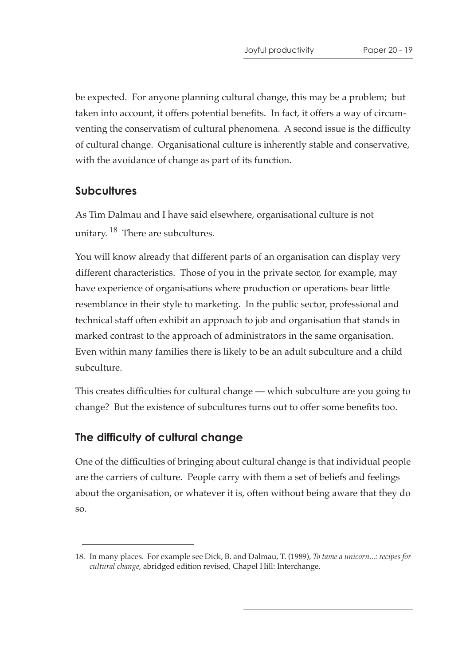be expected. For anyone planning cultural change, this may be a problem; but taken into account, it offers potential benefits. In fact, it offers a way of circumventing the conservatism of cultural phenomena. A second issue is the difficulty of cultural change. Organisational culture is inherently stable and conservative, with the avoidance of change as part of its function.

## **Subcultures**

As Tim Dalmau and I have said elsewhere, organisational culture is not unitary. <sup>18</sup> There are subcultures.

You will know already that different parts of an organisation can display very different characteristics. Those of you in the private sector, for example, may have experience of organisations where production or operations bear little resemblance in their style to marketing. In the public sector, professional and technical staff often exhibit an approach to job and organisation that stands in marked contrast to the approach of administrators in the same organisation. Even within many families there is likely to be an adult subculture and a child subculture.

This creates difficulties for cultural change — which subculture are you going to change? But the existence of subcultures turns out to offer some benefits too.

#### **The difficulty of cultural change**

One of the difficulties of bringing about cultural change is that individual people are the carriers of culture. People carry with them a set of beliefs and feelings about the organisation, or whatever it is, often without being aware that they do so.

<sup>18.</sup> In many places. For example see Dick, B. and Dalmau, T. (1989), *To tame a unicorn...: recipes for cultural change*, abridged edition revised, Chapel Hill: Interchange.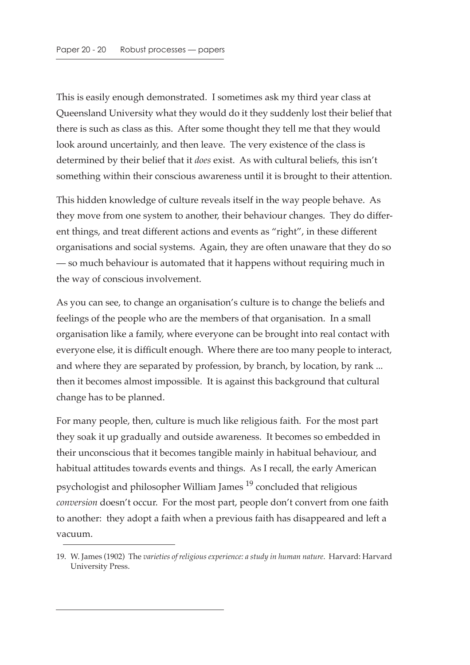This is easily enough demonstrated. I sometimes ask my third year class at Queensland University what they would do it they suddenly lost their belief that there is such as class as this. After some thought they tell me that they would look around uncertainly, and then leave. The very existence of the class is determined by their belief that it *does* exist. As with cultural beliefs, this isn't something within their conscious awareness until it is brought to their attention.

This hidden knowledge of culture reveals itself in the way people behave. As they move from one system to another, their behaviour changes. They do different things, and treat different actions and events as "right", in these different organisations and social systems. Again, they are often unaware that they do so — so much behaviour is automated that it happens without requiring much in the way of conscious involvement.

As you can see, to change an organisation's culture is to change the beliefs and feelings of the people who are the members of that organisation. In a small organisation like a family, where everyone can be brought into real contact with everyone else, it is difficult enough. Where there are too many people to interact, and where they are separated by profession, by branch, by location, by rank ... then it becomes almost impossible. It is against this background that cultural change has to be planned.

For many people, then, culture is much like religious faith. For the most part they soak it up gradually and outside awareness. It becomes so embedded in their unconscious that it becomes tangible mainly in habitual behaviour, and habitual attitudes towards events and things. As I recall, the early American psychologist and philosopher William James 19 concluded that religious *conversion* doesn't occur. For the most part, people don't convert from one faith to another: they adopt a faith when a previous faith has disappeared and left a vacuum.

<sup>19.</sup> W. James (1902) The *varieties of religious experience: a study in human nature*. Harvard: Harvard University Press.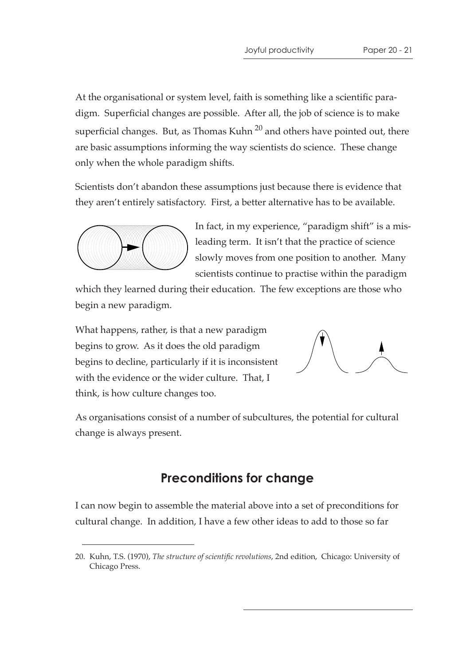At the organisational or system level, faith is something like a scientific paradigm. Superficial changes are possible. After all, the job of science is to make superficial changes. But, as Thomas Kuhn  $20$  and others have pointed out, there are basic assumptions informing the way scientists do science. These change only when the whole paradigm shifts.

Scientists don't abandon these assumptions just because there is evidence that they aren't entirely satisfactory. First, a better alternative has to be available.



In fact, in my experience, "paradigm shift" is a misleading term. It isn't that the practice of science slowly moves from one position to another. Many scientists continue to practise within the paradigm

which they learned during their education. The few exceptions are those who begin a new paradigm.

What happens, rather, is that a new paradigm begins to grow. As it does the old paradigm begins to decline, particularly if it is inconsistent with the evidence or the wider culture. That, I think, is how culture changes too.



As organisations consist of a number of subcultures, the potential for cultural change is always present.

## **Preconditions for change**

I can now begin to assemble the material above into a set of preconditions for cultural change. In addition, I have a few other ideas to add to those so far

<sup>20.</sup> Kuhn, T.S. (1970), *The structure of scientific revolutions*, 2nd edition, Chicago: University of Chicago Press.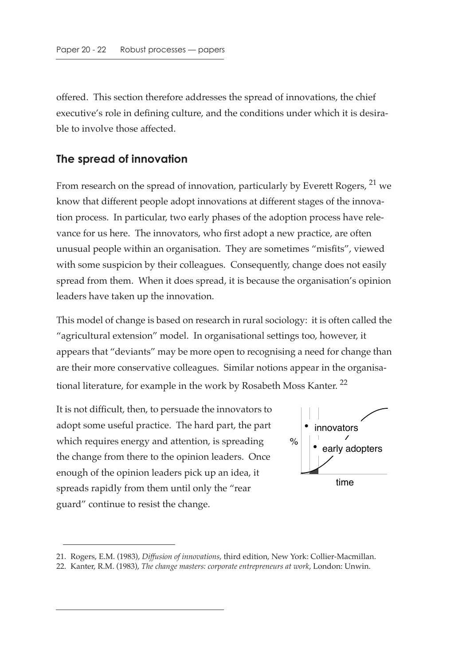offered. This section therefore addresses the spread of innovations, the chief executive's role in defining culture, and the conditions under which it is desirable to involve those affected.

#### **The spread of innovation**

From research on the spread of innovation, particularly by Everett Rogers, <sup>21</sup> we know that different people adopt innovations at different stages of the innovation process. In particular, two early phases of the adoption process have relevance for us here. The innovators, who first adopt a new practice, are often unusual people within an organisation. They are sometimes "misfits", viewed with some suspicion by their colleagues. Consequently, change does not easily spread from them. When it does spread, it is because the organisation's opinion leaders have taken up the innovation.

This model of change is based on research in rural sociology: it is often called the "agricultural extension" model. In organisational settings too, however, it appears that "deviants" may be more open to recognising a need for change than are their more conservative colleagues. Similar notions appear in the organisational literature, for example in the work by Rosabeth Moss Kanter.<sup>22</sup>

It is not difficult, then, to persuade the innovators to adopt some useful practice. The hard part, the part which requires energy and attention, is spreading the change from there to the opinion leaders. Once enough of the opinion leaders pick up an idea, it spreads rapidly from them until only the "rear guard" continue to resist the change.



<sup>21.</sup> Rogers, E.M. (1983), *Diffusion of innovations*, third edition, New York: Collier-Macmillan.

<sup>22.</sup> Kanter, R.M. (1983), *The change masters: corporate entrepreneurs at work*, London: Unwin.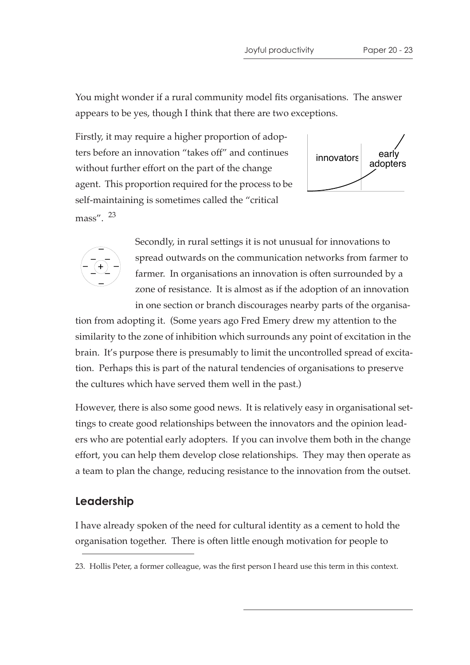You might wonder if a rural community model fits organisations. The answer appears to be yes, though I think that there are two exceptions.

Firstly, it may require a higher proportion of adopters before an innovation "takes off" and continues without further effort on the part of the change agent. This proportion required for the process to be self-maintaining is sometimes called the "critical mass". <sup>23</sup>





Secondly, in rural settings it is not unusual for innovations to spread outwards on the communication networks from farmer to farmer. In organisations an innovation is often surrounded by a zone of resistance. It is almost as if the adoption of an innovation in one section or branch discourages nearby parts of the organisa-

tion from adopting it. (Some years ago Fred Emery drew my attention to the similarity to the zone of inhibition which surrounds any point of excitation in the brain. It's purpose there is presumably to limit the uncontrolled spread of excitation. Perhaps this is part of the natural tendencies of organisations to preserve the cultures which have served them well in the past.)

However, there is also some good news. It is relatively easy in organisational settings to create good relationships between the innovators and the opinion leaders who are potential early adopters. If you can involve them both in the change effort, you can help them develop close relationships. They may then operate as a team to plan the change, reducing resistance to the innovation from the outset.

#### **Leadership**

I have already spoken of the need for cultural identity as a cement to hold the organisation together. There is often little enough motivation for people to

<sup>23.</sup> Hollis Peter, a former colleague, was the first person I heard use this term in this context.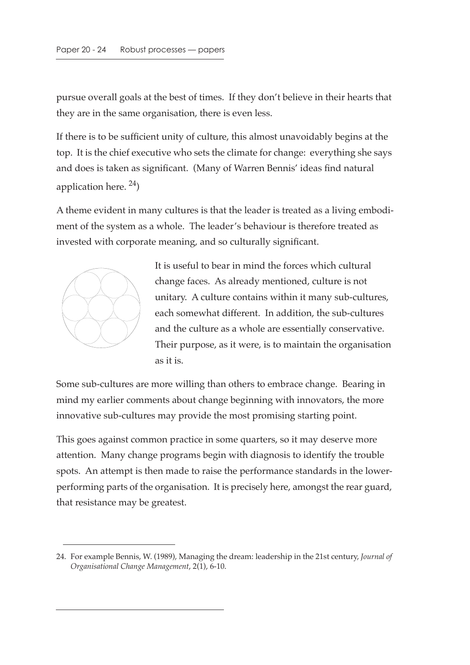pursue overall goals at the best of times. If they don't believe in their hearts that they are in the same organisation, there is even less.

If there is to be sufficient unity of culture, this almost unavoidably begins at the top. It is the chief executive who sets the climate for change: everything she says and does is taken as significant. (Many of Warren Bennis' ideas find natural application here.  $^{24}$ )

A theme evident in many cultures is that the leader is treated as a living embodiment of the system as a whole. The leader's behaviour is therefore treated as invested with corporate meaning, and so culturally significant.



It is useful to bear in mind the forces which cultural change faces. As already mentioned, culture is not unitary. A culture contains within it many sub-cultures, each somewhat different. In addition, the sub-cultures and the culture as a whole are essentially conservative. Their purpose, as it were, is to maintain the organisation as it is.

Some sub-cultures are more willing than others to embrace change. Bearing in mind my earlier comments about change beginning with innovators, the more innovative sub-cultures may provide the most promising starting point.

This goes against common practice in some quarters, so it may deserve more attention. Many change programs begin with diagnosis to identify the trouble spots. An attempt is then made to raise the performance standards in the lowerperforming parts of the organisation. It is precisely here, amongst the rear guard, that resistance may be greatest.

<sup>24.</sup> For example Bennis, W. (1989), Managing the dream: leadership in the 21st century, *Journal of Organisational Change Management*, 2(1), 6-10.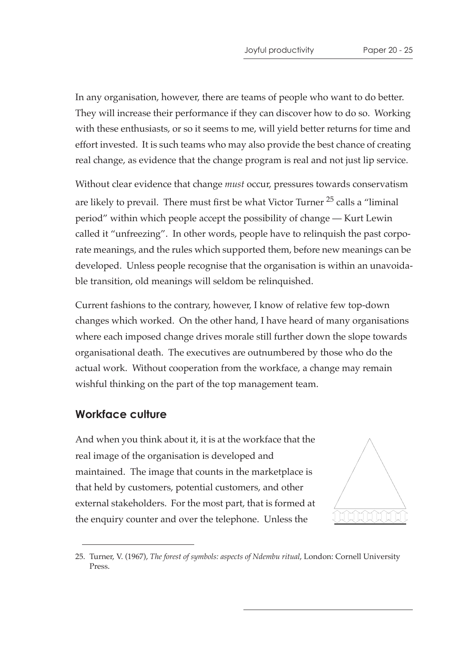In any organisation, however, there are teams of people who want to do better. They will increase their performance if they can discover how to do so. Working with these enthusiasts, or so it seems to me, will yield better returns for time and effort invested. It is such teams who may also provide the best chance of creating real change, as evidence that the change program is real and not just lip service.

Without clear evidence that change *must* occur, pressures towards conservatism are likely to prevail. There must first be what Victor Turner  $25$  calls a "liminal" period" within which people accept the possibility of change — Kurt Lewin called it "unfreezing". In other words, people have to relinquish the past corporate meanings, and the rules which supported them, before new meanings can be developed. Unless people recognise that the organisation is within an unavoidable transition, old meanings will seldom be relinquished.

Current fashions to the contrary, however, I know of relative few top-down changes which worked. On the other hand, I have heard of many organisations where each imposed change drives morale still further down the slope towards organisational death. The executives are outnumbered by those who do the actual work. Without cooperation from the workface, a change may remain wishful thinking on the part of the top management team.

#### **Workface culture**

And when you think about it, it is at the workface that the real image of the organisation is developed and maintained. The image that counts in the marketplace is that held by customers, potential customers, and other external stakeholders. For the most part, that is formed at the enquiry counter and over the telephone. Unless the



<sup>25.</sup> Turner, V. (1967), *The forest of symbols: aspects of Ndembu ritual*, London: Cornell University Press.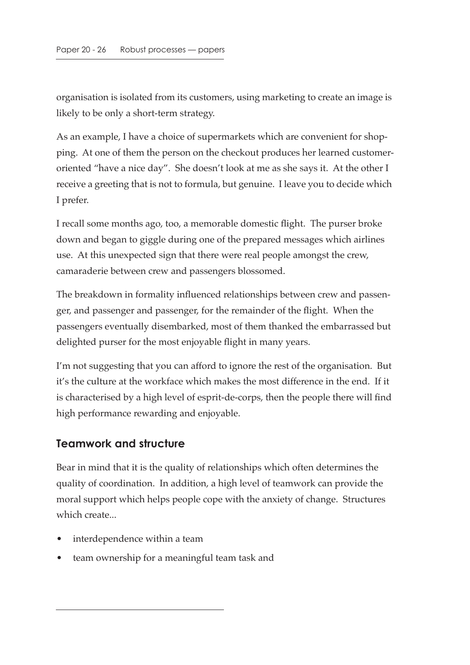organisation is isolated from its customers, using marketing to create an image is likely to be only a short-term strategy.

As an example, I have a choice of supermarkets which are convenient for shopping. At one of them the person on the checkout produces her learned customeroriented "have a nice day". She doesn't look at me as she says it. At the other I receive a greeting that is not to formula, but genuine. I leave you to decide which I prefer.

I recall some months ago, too, a memorable domestic flight. The purser broke down and began to giggle during one of the prepared messages which airlines use. At this unexpected sign that there were real people amongst the crew, camaraderie between crew and passengers blossomed.

The breakdown in formality influenced relationships between crew and passenger, and passenger and passenger, for the remainder of the flight. When the passengers eventually disembarked, most of them thanked the embarrassed but delighted purser for the most enjoyable flight in many years.

I'm not suggesting that you can afford to ignore the rest of the organisation. But it's the culture at the workface which makes the most difference in the end. If it is characterised by a high level of esprit-de-corps, then the people there will find high performance rewarding and enjoyable.

#### **Teamwork and structure**

Bear in mind that it is the quality of relationships which often determines the quality of coordination. In addition, a high level of teamwork can provide the moral support which helps people cope with the anxiety of change. Structures which create...

- interdependence within a team
- team ownership for a meaningful team task and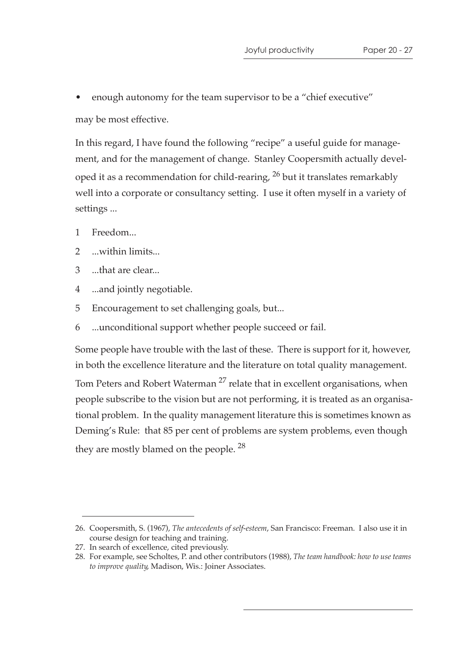• enough autonomy for the team supervisor to be a "chief executive" may be most effective.

In this regard, I have found the following "recipe" a useful guide for management, and for the management of change. Stanley Coopersmith actually developed it as a recommendation for child-rearing,  $^{26}$  but it translates remarkably well into a corporate or consultancy setting. I use it often myself in a variety of settings ...

- 1 Freedom...
- 2 ...within limits...
- 3 ...that are clear...
- 4 ...and jointly negotiable.
- 5 Encouragement to set challenging goals, but...
- 6 ...unconditional support whether people succeed or fail.

Some people have trouble with the last of these. There is support for it, however, in both the excellence literature and the literature on total quality management. Tom Peters and Robert Waterman<sup>27</sup> relate that in excellent organisations, when people subscribe to the vision but are not performing, it is treated as an organisational problem. In the quality management literature this is sometimes known as Deming's Rule: that 85 per cent of problems are system problems, even though they are mostly blamed on the people.<sup>28</sup>

<sup>26.</sup> Coopersmith, S. (1967), *The antecedents of self-esteem*, San Francisco: Freeman. I also use it in course design for teaching and training.

<sup>27.</sup> In search of excellence, cited previously.

<sup>28.</sup> For example, see Scholtes, P. and other contributors (1988), *The team handbook: how to use teams to improve quality*, Madison, Wis.: Joiner Associates.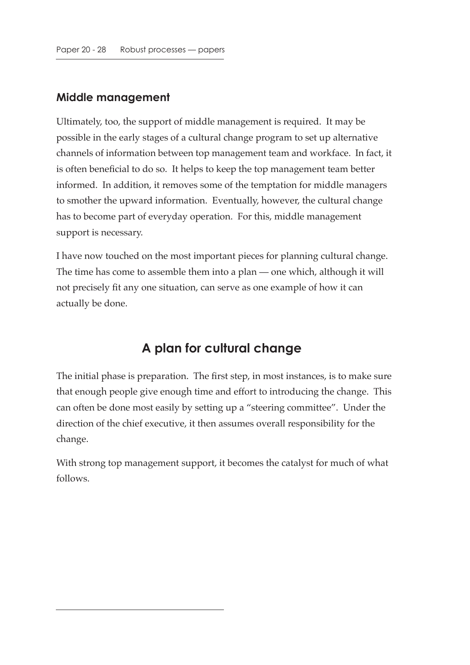#### **Middle management**

Ultimately, too, the support of middle management is required. It may be possible in the early stages of a cultural change program to set up alternative channels of information between top management team and workface. In fact, it is often beneficial to do so. It helps to keep the top management team better informed. In addition, it removes some of the temptation for middle managers to smother the upward information. Eventually, however, the cultural change has to become part of everyday operation. For this, middle management support is necessary.

I have now touched on the most important pieces for planning cultural change. The time has come to assemble them into a plan — one which, although it will not precisely fit any one situation, can serve as one example of how it can actually be done.

## **A plan for cultural change**

The initial phase is preparation. The first step, in most instances, is to make sure that enough people give enough time and effort to introducing the change. This can often be done most easily by setting up a "steering committee". Under the direction of the chief executive, it then assumes overall responsibility for the change.

With strong top management support, it becomes the catalyst for much of what follows.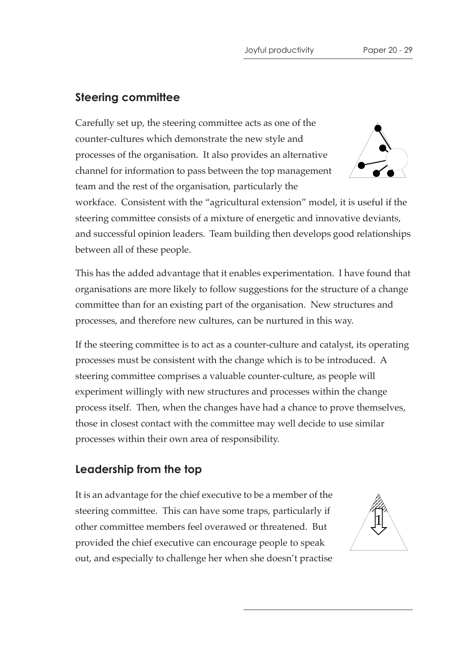## **Steering committee**

Carefully set up, the steering committee acts as one of the counter-cultures which demonstrate the new style and processes of the organisation. It also provides an alternative channel for information to pass between the top management team and the rest of the organisation, particularly the



workface. Consistent with the "agricultural extension" model, it is useful if the steering committee consists of a mixture of energetic and innovative deviants, and successful opinion leaders. Team building then develops good relationships between all of these people.

This has the added advantage that it enables experimentation. I have found that organisations are more likely to follow suggestions for the structure of a change committee than for an existing part of the organisation. New structures and processes, and therefore new cultures, can be nurtured in this way.

If the steering committee is to act as a counter-culture and catalyst, its operating processes must be consistent with the change which is to be introduced. A steering committee comprises a valuable counter-culture, as people will experiment willingly with new structures and processes within the change process itself. Then, when the changes have had a chance to prove themselves, those in closest contact with the committee may well decide to use similar processes within their own area of responsibility.

#### **Leadership from the top**

It is an advantage for the chief executive to be a member of the steering committee. This can have some traps, particularly if other committee members feel overawed or threatened. But provided the chief executive can encourage people to speak out, and especially to challenge her when she doesn't practise

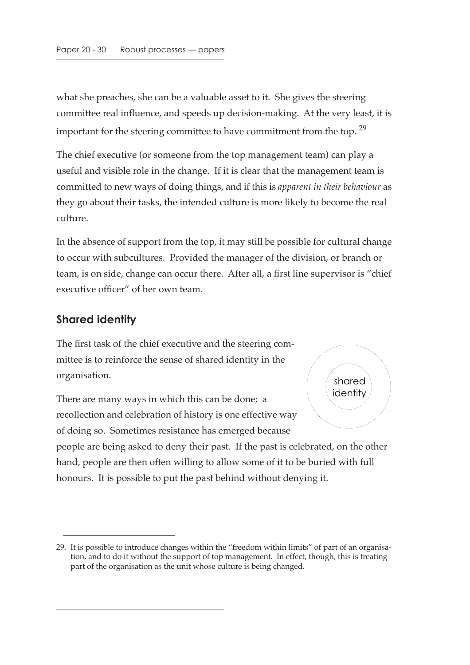what she preaches, she can be a valuable asset to it. She gives the steering committee real influence, and speeds up decision-making. At the very least, it is important for the steering committee to have commitment from the top.  $29$ 

The chief executive (or someone from the top management team) can play a useful and visible role in the change. If it is clear that the management team is committed to new ways of doing things, and if this is *apparent in their behaviour* as they go about their tasks, the intended culture is more likely to become the real culture.

In the absence of support from the top, it may still be possible for cultural change to occur with subcultures. Provided the manager of the division, or branch or team, is on side, change can occur there. After all, a first line supervisor is "chief executive officer" of her own team.

#### **Shared identity**

The first task of the chief executive and the steering committee is to reinforce the sense of shared identity in the organisation.

There are many ways in which this can be done; a recollection and celebration of history is one effective way of doing so. Sometimes resistance has emerged because



people are being asked to deny their past. If the past is celebrated, on the other hand, people are then often willing to allow some of it to be buried with full honours. It is possible to put the past behind without denying it.

<sup>29.</sup> It is possible to introduce changes within the "freedom within limits" of part of an organisation, and to do it without the support of top management. In effect, though, this is treating part of the organisation as the unit whose culture is being changed.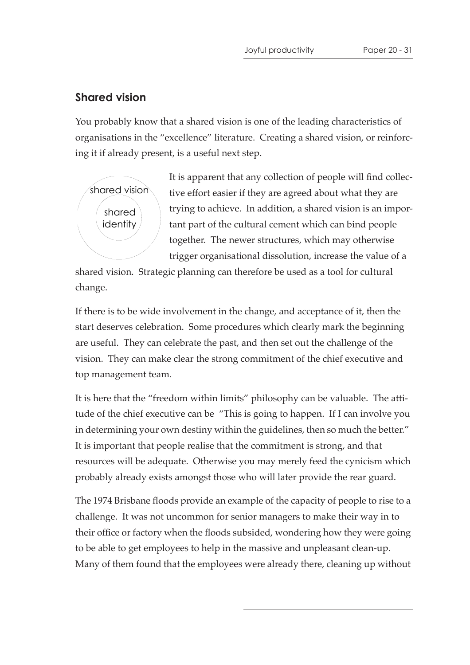## **Shared vision**

You probably know that a shared vision is one of the leading characteristics of organisations in the "excellence" literature. Creating a shared vision, or reinforcing it if already present, is a useful next step.



It is apparent that any collection of people will find collective effort easier if they are agreed about what they are trying to achieve. In addition, a shared vision is an important part of the cultural cement which can bind people together. The newer structures, which may otherwise trigger organisational dissolution, increase the value of a

shared vision. Strategic planning can therefore be used as a tool for cultural change.

If there is to be wide involvement in the change, and acceptance of it, then the start deserves celebration. Some procedures which clearly mark the beginning are useful. They can celebrate the past, and then set out the challenge of the vision. They can make clear the strong commitment of the chief executive and top management team.

It is here that the "freedom within limits" philosophy can be valuable. The attitude of the chief executive can be "This is going to happen. If I can involve you in determining your own destiny within the guidelines, then so much the better." It is important that people realise that the commitment is strong, and that resources will be adequate. Otherwise you may merely feed the cynicism which probably already exists amongst those who will later provide the rear guard.

The 1974 Brisbane floods provide an example of the capacity of people to rise to a challenge. It was not uncommon for senior managers to make their way in to their office or factory when the floods subsided, wondering how they were going to be able to get employees to help in the massive and unpleasant clean-up. Many of them found that the employees were already there, cleaning up without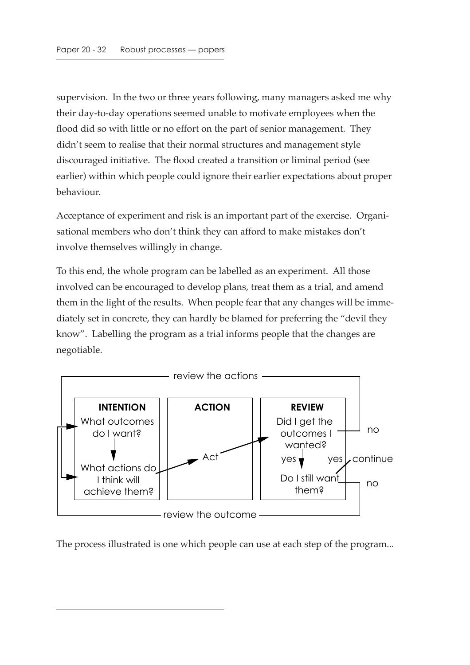supervision. In the two or three years following, many managers asked me why their day-to-day operations seemed unable to motivate employees when the flood did so with little or no effort on the part of senior management. They didn't seem to realise that their normal structures and management style discouraged initiative. The flood created a transition or liminal period (see earlier) within which people could ignore their earlier expectations about proper behaviour.

Acceptance of experiment and risk is an important part of the exercise. Organisational members who don't think they can afford to make mistakes don't involve themselves willingly in change.

To this end, the whole program can be labelled as an experiment. All those involved can be encouraged to develop plans, treat them as a trial, and amend them in the light of the results. When people fear that any changes will be immediately set in concrete, they can hardly be blamed for preferring the "devil they know". Labelling the program as a trial informs people that the changes are negotiable.



The process illustrated is one which people can use at each step of the program...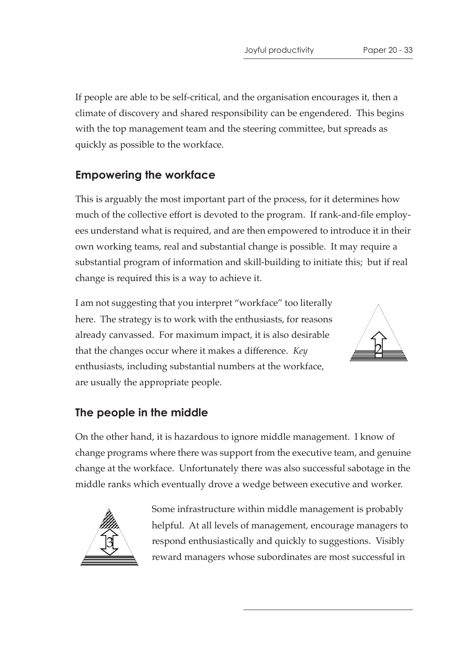If people are able to be self-critical, and the organisation encourages it, then a climate of discovery and shared responsibility can be engendered. This begins with the top management team and the steering committee, but spreads as quickly as possible to the workface.

## **Empowering the workface**

This is arguably the most important part of the process, for it determines how much of the collective effort is devoted to the program. If rank-and-file employees understand what is required, and are then empowered to introduce it in their own working teams, real and substantial change is possible. It may require a substantial program of information and skill-building to initiate this; but if real change is required this is a way to achieve it.

I am not suggesting that you interpret "workface" too literally here. The strategy is to work with the enthusiasts, for reasons already canvassed. For maximum impact, it is also desirable that the changes occur where it makes a difference. *Key* enthusiasts, including substantial numbers at the workface, are usually the appropriate people.



## **The people in the middle**

On the other hand, it is hazardous to ignore middle management. I know of change programs where there was support from the executive team, and genuine change at the workface. Unfortunately there was also successful sabotage in the middle ranks which eventually drove a wedge between executive and worker.



Some infrastructure within middle management is probably helpful. At all levels of management, encourage managers to respond enthusiastically and quickly to suggestions. Visibly reward managers whose subordinates are most successful in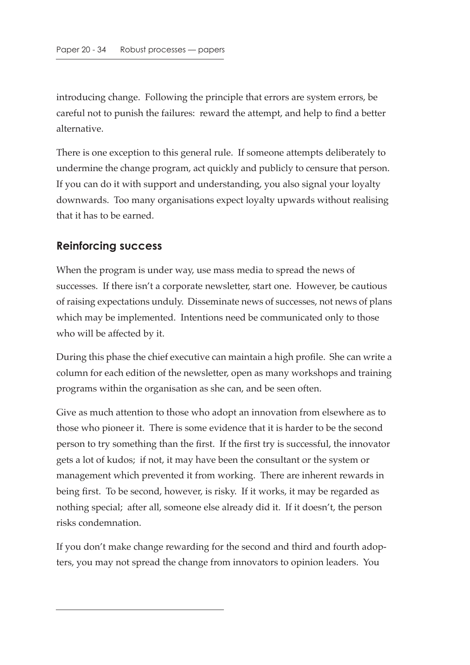introducing change. Following the principle that errors are system errors, be careful not to punish the failures: reward the attempt, and help to find a better alternative.

There is one exception to this general rule. If someone attempts deliberately to undermine the change program, act quickly and publicly to censure that person. If you can do it with support and understanding, you also signal your loyalty downwards. Too many organisations expect loyalty upwards without realising that it has to be earned.

## **Reinforcing success**

When the program is under way, use mass media to spread the news of successes. If there isn't a corporate newsletter, start one. However, be cautious of raising expectations unduly. Disseminate news of successes, not news of plans which may be implemented. Intentions need be communicated only to those who will be affected by it.

During this phase the chief executive can maintain a high profile. She can write a column for each edition of the newsletter, open as many workshops and training programs within the organisation as she can, and be seen often.

Give as much attention to those who adopt an innovation from elsewhere as to those who pioneer it. There is some evidence that it is harder to be the second person to try something than the first. If the first try is successful, the innovator gets a lot of kudos; if not, it may have been the consultant or the system or management which prevented it from working. There are inherent rewards in being first. To be second, however, is risky. If it works, it may be regarded as nothing special; after all, someone else already did it. If it doesn't, the person risks condemnation.

If you don't make change rewarding for the second and third and fourth adopters, you may not spread the change from innovators to opinion leaders. You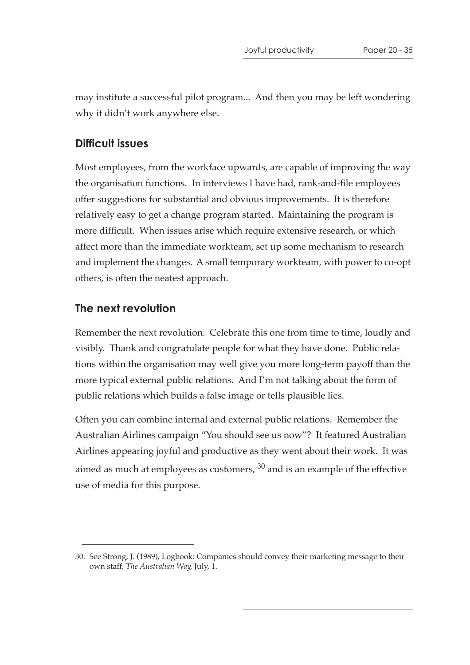may institute a successful pilot program... And then you may be left wondering why it didn't work anywhere else.

#### **Difficult issues**

Most employees, from the workface upwards, are capable of improving the way the organisation functions. In interviews I have had, rank-and-file employees offer suggestions for substantial and obvious improvements. It is therefore relatively easy to get a change program started. Maintaining the program is more difficult. When issues arise which require extensive research, or which affect more than the immediate workteam, set up some mechanism to research and implement the changes. A small temporary workteam, with power to co-opt others, is often the neatest approach.

#### **The next revolution**

Remember the next revolution. Celebrate this one from time to time, loudly and visibly. Thank and congratulate people for what they have done. Public relations within the organisation may well give you more long-term payoff than the more typical external public relations. And I'm not talking about the form of public relations which builds a false image or tells plausible lies.

Often you can combine internal and external public relations. Remember the Australian Airlines campaign "You should see us now"? It featured Australian Airlines appearing joyful and productive as they went about their work. It was aimed as much at employees as customers,  $30$  and is an example of the effective use of media for this purpose.

<sup>30.</sup> See Strong, J. (1989), Logbook: Companies should convey their marketing message to their own staff, *The Australian Way*, July, 1.